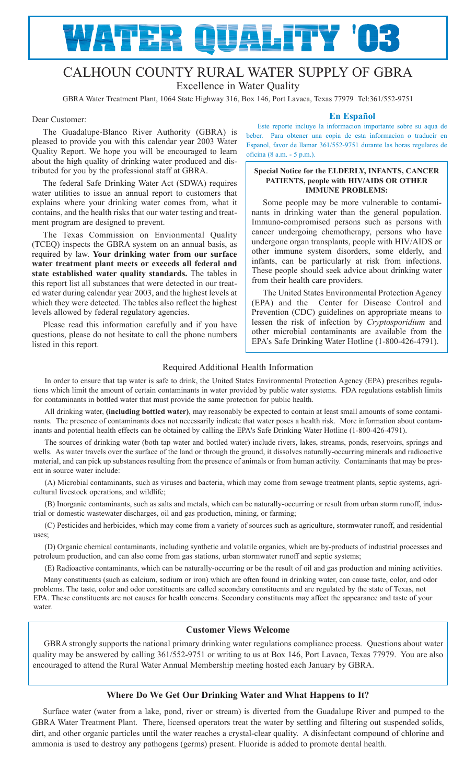# ATER QUALITY '03

## CALHOUN COUNTY RURAL WATER SUPPLY OF GBRA Excellence in Water Quality

GBRA Water Treatment Plant, 1064 State Highway 316, Box 146, Port Lavaca, Texas 77979 Tel:361/552-9751

#### Dear Customer:

The Guadalupe-Blanco River Authority (GBRA) is pleased to provide you with this calendar year 2003 Water Quality Report. We hope you will be encouraged to learn about the high quality of drinking water produced and distributed for you by the professional staff at GBRA.

The federal Safe Drinking Water Act (SDWA) requires water utilities to issue an annual report to customers that explains where your drinking water comes from, what it contains, and the health risks that our water testing and treatment program are designed to prevent.

The Texas Commission on Envionmental Quality (TCEQ) inspects the GBRA system on an annual basis, as required by law. **Your drinking water from our surface water treatment plant meets or exceeds all federal and state established water quality standards.** The tables in this report list all substances that were detected in our treated water during calendar year 2003, and the highest levels at which they were detected. The tables also reflect the highest levels allowed by federal regulatory agencies.

Please read this information carefully and if you have questions, please do not hesitate to call the phone numbers listed in this report.

#### **En Español**

Este reporte incluye la informacion importante sobre su aqua de beber. Para obtener una copia de esta informacion o traducir en Espanol, favor de llamar 361/552-9751 durante las horas regulares de oficina (8 a.m. - 5 p.m.).

#### **Special Notice for the ELDERLY, INFANTS, CANCER PATIENTS, people with HIV/AIDS OR OTHER IMMUNE PROBLEMS:**

Some people may be more vulnerable to contaminants in drinking water than the general population. Immuno-compromised persons such as persons with cancer undergoing chemotherapy, persons who have undergone organ transplants, people with HIV/AIDS or other immune system disorders, some elderly, and infants, can be particularly at risk from infections. These people should seek advice about drinking water from their health care providers.

The United States Environmental Protection Agency (EPA) and the Center for Disease Control and Prevention (CDC) guidelines on appropriate means to lessen the risk of infection by *Cryptosporidium* and other microbial contaminants are available from the EPA's Safe Drinking Water Hotline (1-800-426-4791).

## Required Additional Health Information

In order to ensure that tap water is safe to drink, the United States Environmental Protection Agency (EPA) prescribes regulations which limit the amount of certain contaminants in water provided by public water systems. FDA regulations establish limits for contaminants in bottled water that must provide the same protection for public health.

All drinking water, **(including bottled water)**, may reasonably be expected to contain at least small amounts of some contaminants. The presence of contaminants does not necessarily indicate that water poses a health risk. More information about contaminants and potential health effects can be obtained by calling the EPA's Safe Drinking Water Hotline (1-800-426-4791).

The sources of drinking water (both tap water and bottled water) include rivers, lakes, streams, ponds, reservoirs, springs and wells. As water travels over the surface of the land or through the ground, it dissolves naturally-occurring minerals and radioactive material, and can pick up substances resulting from the presence of animals or from human activity. Contaminants that may be present in source water include:

(A) Microbial contaminants, such as viruses and bacteria, which may come from sewage treatment plants, septic systems, agricultural livestock operations, and wildlife;

(B) Inorganic contaminants, such as salts and metals, which can be naturally-occurring or result from urban storm runoff, industrial or domestic wastewater discharges, oil and gas production, mining, or farming;

(C) Pesticides and herbicides, which may come from a variety of sources such as agriculture, stormwater runoff, and residential uses;

(D) Organic chemical contaminants, including synthetic and volatile organics, which are by-products of industrial processes and petroleum production, and can also come from gas stations, urban stormwater runoff and septic systems;

(E) Radioactive contaminants, which can be naturally-occurring or be the result of oil and gas production and mining activities.

Many constituents (such as calcium, sodium or iron) which are often found in drinking water, can cause taste, color, and odor problems. The taste, color and odor constituents are called secondary constituents and are regulated by the state of Texas, not EPA. These constituents are not causes for health concerns. Secondary constituents may affect the appearance and taste of your water.

## **Customer Views Welcome**

GBRA strongly supports the national primary drinking water regulations compliance process. Questions about water quality may be answered by calling 361/552-9751 or writing to us at Box 146, Port Lavaca, Texas 77979. You are also encouraged to attend the Rural Water Annual Membership meeting hosted each January by GBRA.

## **Where Do We Get Our Drinking Water and What Happens to It?**

Surface water (water from a lake, pond, river or stream) is diverted from the Guadalupe River and pumped to the GBRA Water Treatment Plant. There, licensed operators treat the water by settling and filtering out suspended solids, dirt, and other organic particles until the water reaches a crystal-clear quality. A disinfectant compound of chlorine and ammonia is used to destroy any pathogens (germs) present. Fluoride is added to promote dental health.